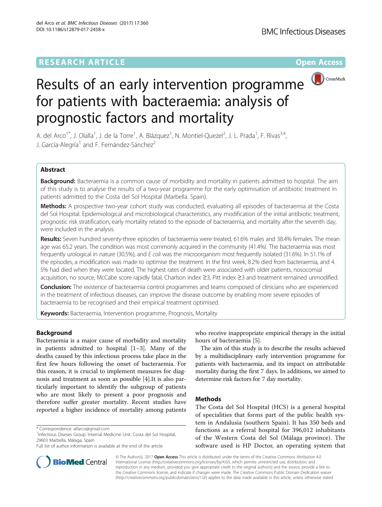

# Results of an early intervention programme for patients with bacteraemia: analysis of prognostic factors and mortality

A. del Arco<sup>1\*</sup>, J. Olalla<sup>1</sup>, J. de la Torre<sup>1</sup>, A. Blázquez<sup>1</sup>, N. Montiel-Quezel<sup>2</sup>, J. L. Prada<sup>1</sup>, F. Rivas<sup>3,4</sup>, J. García-Alegría<sup>1</sup> and F. Fernández-Sánchez<sup>2</sup>

# Abstract

Background: Bacteraemia is a common cause of morbidity and mortality in patients admitted to hospital. The aim of this study is to analyse the results of a two-year programme for the early optimisation of antibiotic treatment in patients admitted to the Costa del Sol Hospital (Marbella. Spain).

Methods: A prospective two-year cohort study was conducted, evaluating all episodes of bacteraemia at the Costa del Sol Hospital. Epidemiological and microbiological characteristics, any modification of the initial antibiotic treatment, prognostic risk stratification, early mortality related to the episode of bacteraemia, and mortality after the seventh day, were included in the analysis.

Results: Seven hundred seventy-three episodes of bacteraemia were treated, 61.6% males and 38.4% females. The mean age was 65.2 years. The condition was most commonly acquired in the community (41.4%). The bacteraemia was most frequently urological in nature (30.5%), and E coli was the microorganism most frequently isolated (31.6%). In 51.1% of the episodes, a modification was made to optimise the treatment. In the first week, 8.2% died from bacteraemia, and 4. 5% had died when they were located. The highest rates of death were associated with older patients, nosocomial acquisition, no source, McCabe score rapidly fatal, Charlson index ≥3, Pitt index ≥3 and treatment remained unmodified.

**Conclusion:** The existence of bacteraemia control programmes and teams composed of clinicians who are experienced in the treatment of infectious diseases, can improve the disease outcome by enabling more severe episodes of bacteraemia to be recognised and their empirical treatment optimised.

Keywords: Bacteraemia, Intervention programme, Prognosis, Mortality

# Background

Bacteraemia is a major cause of morbidity and mortality in patients admitted to hospital [\[1](#page-5-0)–[3\]](#page-5-0). Many of the deaths caused by this infectious process take place in the first few hours following the onset of bacteraemia. For this reason, it is crucial to implement measures for diagnosis and treatment as soon as possible [[4\]](#page-5-0).It is also particularly important to identify the subgroup of patients who are most likely to present a poor prognosis and therefore suffer greater mortality. Recent studies have reported a higher incidence of mortality among patients

who receive inappropriate empirical therapy in the initial hours of bacteraemia [\[5](#page-5-0)].

The aim of this study is to describe the results achieved by a multidisciplinary early intervention programme for patients with bacteraemia, and its impact on attributable mortality during the first 7 days. In additions, we aimed to determine risk factors for 7 day mortality.

# Methods

The Costa del Sol Hospital (HCS) is a general hospital of specialities that forms part of the public health system in Andalusia (southern Spain). It has 350 beds and functions as a referral hospital for 396,012 inhabitants of the Western Costa del Sol (Málaga province). The software used is HP Doctor, an operating system that



© The Author(s). 2017 **Open Access** This article is distributed under the terms of the Creative Commons Attribution 4.0 International License [\(http://creativecommons.org/licenses/by/4.0/](http://creativecommons.org/licenses/by/4.0/)), which permits unrestricted use, distribution, and reproduction in any medium, provided you give appropriate credit to the original author(s) and the source, provide a link to the Creative Commons license, and indicate if changes were made. The Creative Commons Public Domain Dedication waiver [\(http://creativecommons.org/publicdomain/zero/1.0/](http://creativecommons.org/publicdomain/zero/1.0/)) applies to the data made available in this article, unless otherwise stated.

<sup>\*</sup> Correspondence: [alfarco@gmail.com](mailto:alfarco@gmail.com) <sup>1</sup>

<sup>&</sup>lt;sup>1</sup>Infectious Diseses Group. Internal Medicine Unit. Costa del Sol Hospital, 29603 Marbella, Málaga, Spain

Full list of author information is available at the end of the article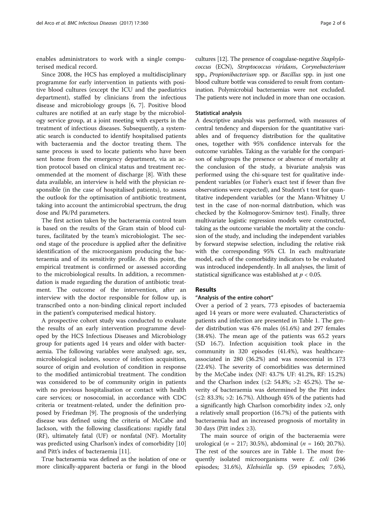enables administrators to work with a single computerised medical record.

Since 2008, the HCS has employed a multidisciplinary programme for early intervention in patients with positive blood cultures (except the ICU and the paediatrics department), staffed by clinicians from the infectious disease and microbiology groups [\[6, 7\]](#page-5-0). Positive blood cultures are notified at an early stage by the microbiology service group, at a joint meeting with experts in the treatment of infectious diseases. Subsequently, a systematic search is conducted to identify hospitalised patients with bacteraemia and the doctor treating them. The same process is used to locate patients who have been sent home from the emergency department, via an action protocol based on clinical status and treatment recommended at the moment of discharge [[8](#page-5-0)]. With these data available, an interview is held with the physician responsible (in the case of hospitalised patients), to assess the outlook for the optimisation of antibiotic treatment, taking into account the antimicrobial spectrum, the drug dose and Pk/Pd parameters.

The first action taken by the bacteraemia control team is based on the results of the Gram stain of blood cultures, facilitated by the team's microbiologist. The second stage of the procedure is applied after the definitive identification of the microorganism producing the bacteraemia and of its sensitivity profile. At this point, the empirical treatment is confirmed or assessed according to the microbiological results. In addition, a recommendation is made regarding the duration of antibiotic treatment. The outcome of the intervention, after an interview with the doctor responsible for follow up, is transcribed onto a non-binding clinical report included in the patient's computerised medical history.

A prospective cohort study was conducted to evaluate the results of an early intervention programme developed by the HCS Infectious Diseases and Microbiology group for patients aged 14 years and older with bacteraemia. The following variables were analysed: age, sex, microbiological isolates, source of infection acquisition, source of origin and evolution of condition in response to the modified antimicrobial treatment. The condition was considered to be of community origin in patients with no previous hospitalisation or contact with health care services; or nosocomial, in accordance with CDC criteria or treatment-related, under the definition proposed by Friedman [[9\]](#page-5-0). The prognosis of the underlying disease was defined using the criteria of McCabe and Jackson, with the following classifications: rapidly fatal (RF), ultimately fatal (UF) or nonfatal (NF). Mortality was predicted using Charlson's index of comorbidity [[10](#page-5-0)] and Pitt's index of bacteraemia [[11\]](#page-5-0).

True bacteraemia was defined as the isolation of one or more clinically-apparent bacteria or fungi in the blood

cultures [[12](#page-5-0)]. The presence of coagulase-negative Staphylococcus (ECN), Streptococcus viridans, Corynebacterium spp., Propionibacterium spp. or Bacillus spp. in just one blood culture bottle was considered to result from contamination. Polymicrobial bacteraemias were not excluded. The patients were not included in more than one occasion.

## Statistical analysis

A descriptive analysis was performed, with measures of central tendency and dispersion for the quantitative variables and of frequency distribution for the qualitative ones, together with 95% confidence intervals for the outcome variables. Taking as the variable for the comparison of subgroups the presence or absence of mortality at the conclusion of the study, a bivariate analysis was performed using the chi-square test for qualitative independent variables (or Fisher's exact test if fewer than five observations were expected), and Student's t test for quantitative independent variables (or the Mann-Whitney U test in the case of non-normal distribution, which was checked by the Kolmogorov-Smirnov test). Finally, three multivariate logistic regression models were constructed, taking as the outcome variable the mortality at the conclusion of the study, and including the independent variables by forward stepwise selection, including the relative risk with the corresponding 95% CI. In each multivariate model, each of the comorbidity indicators to be evaluated was introduced independently. In all analyses, the limit of statistical significance was established at  $p < 0.05$ .

# Results

## "Analysis of the entire cohort"

Over a period of 2 years, 773 episodes of bacteraemia aged 14 years or more were evaluated. Characteristics of patients and infection are presented in Table [1](#page-2-0). The gender distribution was 476 males (61.6%) and 297 females (38.4%). The mean age of the patients was 65.2 years (SD 16.7). Infection acquisition took place in the community in 320 episodes (41.4%), was healthcareassociated in 280 (36.2%) and was nosocomial in 173 (22.4%). The severity of comorbidities was determined by the McCabe index (NF: 43.7% UF: 41.2%, RF: 15.2%) and the Charlson index (≤2: 54.8%; >2: 45.2%). The severity of bacteraemia was determined by the Pitt index (≤2: 83.3%; >2: 16.7%). Although 45% of the patients had a significantly high Charlson comorbidity index >2, only a relatively small proportion (16.7%) of the patients with bacteraemia had an increased prognosis of mortality in 30 days (Pitt index ≥3).

The main source of origin of the bacteraemia were urological (*n* = 217; 30.5%), abdominal (*n* = 160; 20.7%). The rest of the sources are in Table [1.](#page-2-0) The most frequently isolated microorganisms were *E. coli* (246) episodes; 31.6%), Klebsiella sp. (59 episodes; 7.6%),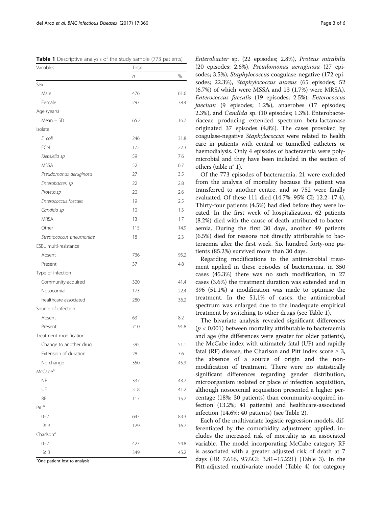<span id="page-2-0"></span>

|  | Table 1 Descriptive analysis of the study sample (773 patients) |  |  |  |
|--|-----------------------------------------------------------------|--|--|--|
|  |                                                                 |  |  |  |

| Total |      |  |  |
|-------|------|--|--|
| n     | %    |  |  |
|       |      |  |  |
| 476   | 61.6 |  |  |
| 297   | 38.4 |  |  |
|       |      |  |  |
| 65.2  | 16.7 |  |  |
|       |      |  |  |
| 246   | 31.8 |  |  |
| 172   | 22.3 |  |  |
| 59    | 7.6  |  |  |
| 52    | 6.7  |  |  |
| 27    | 3.5  |  |  |
| 22    | 2.8  |  |  |
| 20    | 2.6  |  |  |
| 19    | 2.5  |  |  |
| 10    | 1.3  |  |  |
| 13    | 1.7  |  |  |
| 115   | 14.9 |  |  |
| 18    | 2.3  |  |  |
|       |      |  |  |
| 736   | 95.2 |  |  |
| 37    | 4.8  |  |  |
|       |      |  |  |
| 320   | 41.4 |  |  |
| 173   | 22.4 |  |  |
| 280   | 36.2 |  |  |
|       |      |  |  |
| 63    | 8.2  |  |  |
| 710   | 91.8 |  |  |
|       |      |  |  |
| 395   | 51.1 |  |  |
| 28    | 3.6  |  |  |
| 350   | 45.3 |  |  |
|       |      |  |  |
| 337   | 43.7 |  |  |
| 318   | 41.2 |  |  |
| 117   | 15.2 |  |  |
|       |      |  |  |
| 643   | 83.3 |  |  |
| 129   | 16.7 |  |  |
|       |      |  |  |
| 423   | 54.8 |  |  |
| 349   | 45.2 |  |  |
|       |      |  |  |

<sup>a</sup>One patient lost to analysis

Enterobacter sp. (22 episodes; 2.8%), Proteus mirabilis (20 episodes; 2.6%), Pseudomonas aeruginosa (27 episodes; 3.5%), Staphylococcus coagulase-negative (172 episodes; 22.3%), Staphylococcus aureus (65 episodes; 52 (6.7%) of which were MSSA and 13 (1.7%) were MRSA), Enterococcus faecalis (19 episodes; 2.5%), Enterococcus faecium (9 episodes; 1.2%), anaerobes (17 episodes; 2.3%), and Candida sp. (10 episodes; 1.3%). Enterobacteriaceae producing extended spectrum beta-lactamase originated 37 episodes (4.8%). The cases provoked by coagulase-negative Staphylococcus were related to health care in patients with central or tunnelled catheters or haemodialysis. Only 4 episodes of bacteraemia were polymicrobial and they have been included in the section of others (table n° 1).

Of the 773 episodes of bacteraemia, 21 were excluded from the analysis of mortality because the patient was transferred to another centre, and so 752 were finally evaluated. Of these 111 died (14.7%; 95% CI: 12.2–17.4). Thirty-four patients (4.5%) had died before they were located. In the first week of hospitalization, 62 patients (8.2%) died with the cause of death attributed to bacteraemia. During the first 30 days, another 49 patients (6.5%) died for reasons not directly attributable to bacteraemia after the first week. Six hundred forty-one patients (85.2%) survived more than 30 days.

Regarding modifications to the antimicrobial treatment applied in these episodes of bacteraemia, in 350 cases (45.3%) there was no such modification, in 27 cases (3.6%) the treatment duration was extended and in 396 (51.1%) a modification was made to optimise the treatment. In the 51,1% of cases, the antimicrobial spectrum was enlarged due to the inadequate empirical treatment by switching to other drugs (see Table 1).

The bivariate analysis revealed significant differences  $(p < 0.001)$  between mortality attributable to bacteraemia and age (the differences were greater for older patients), the McCabe index with ultimately fatal (UF) and rapidly fatal (RF) disease, the Charlson and Pitt index score  $\geq 3$ , the absence of a source of origin and the nonmodification of treatment. There were no statistically significant differences regarding gender distribution, microorganism isolated or place of infection acquisition, although nosocomial acquisition presented a higher percentage (18%; 30 patients) than community-acquired infection (13.2%; 41 patients) and healthcare-associated infection (14.6%; 40 patients) (see Table [2\)](#page-3-0).

Each of the multivariate logistic regression models, differentiated by the comorbidity adjustment applied, includes the increased risk of mortality as an associated variable. The model incorporating McCabe category RF is associated with a greater adjusted risk of death at 7 days (RR 7.616, 95%CI: 3.81–15.221) (Table [3](#page-3-0)). In the Pitt-adjusted multivariate model (Table [4](#page-3-0)) for category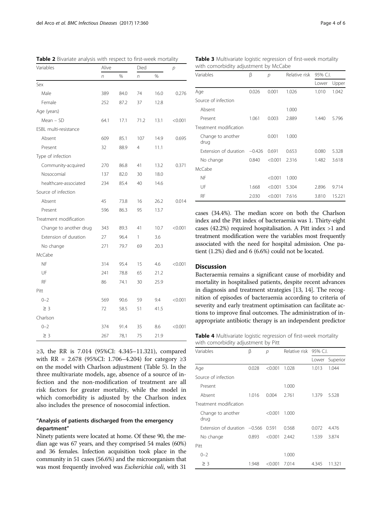| Variables              | Alive |      | Died         |      |         |
|------------------------|-------|------|--------------|------|---------|
|                        | n     | %    | n            | %    |         |
| Sex                    |       |      |              |      |         |
| Male                   | 389   | 84.0 | 74           | 16.0 | 0.276   |
| Female                 | 252   | 87.2 | 37           | 12.8 |         |
| Age (years)            |       |      |              |      |         |
| Mean - SD              | 64.1  | 17.1 | 71.2         | 13.1 | < 0.001 |
| ESBL multi-resistance  |       |      |              |      |         |
| Absent                 | 609   | 85.1 | 107          | 14.9 | 0.695   |
| Present                | 32    | 88.9 | 4            | 11.1 |         |
| Type of infection      |       |      |              |      |         |
| Community-acquired     | 270   | 86.8 | 41           | 13.2 | 0.371   |
| Nosocomial             | 137   | 82.0 | 30           | 18.0 |         |
| healthcare-associated  | 234   | 85.4 | 40           | 14.6 |         |
| Source of infection    |       |      |              |      |         |
| Absent                 | 45    | 73.8 | 16           | 26.2 | 0.014   |
| Present                | 596   | 86.3 | 95           | 13.7 |         |
| Treatment modification |       |      |              |      |         |
| Change to another drug | 343   | 89.3 | 41           | 10.7 | < 0.001 |
| Extension of duration  | 27    | 96.4 | $\mathbf{1}$ | 3.6  |         |
| No change              | 271   | 79.7 | 69           | 20.3 |         |
| McCabe                 |       |      |              |      |         |
| <b>NF</b>              | 314   | 95.4 | 15           | 4.6  | < 0.001 |
| UF                     | 241   | 78.8 | 65           | 21.2 |         |
| RF                     | 86    | 74.1 | 30           | 25.9 |         |
| Pitt                   |       |      |              |      |         |
| $0 - 2$                | 569   | 90.6 | 59           | 9.4  | < 0.001 |
| $\geq$ 3               | 72    | 58.5 | 51           | 41.5 |         |
| Charlson               |       |      |              |      |         |
| $0 - 2$                | 374   | 91.4 | 35           | 8.6  | < 0.001 |
| $\geq$ 3               | 267   | 78,1 | 75           | 21.9 |         |

<span id="page-3-0"></span>Table 2 Bivariate analysis with respect to first-week mortality

≥3, the RR is 7.014 (95%CI: 4.345–11.321), compared with RR = 2.678 (95%CI: 1.706–4.204) for category ≥3 on the model with Charlson adjustment (Table [5\)](#page-4-0). In the three multivariate models, age, absence of a source of infection and the non-modification of treatment are all risk factors for greater mortality, while the model in which comorbidity is adjusted by the Charlson index also includes the presence of nosocomial infection.

## "Analysis of patients discharged from the emergency department"

Ninety patients were located at home. Of these 90, the median age was 67 years, and they comprised 54 males (60%) and 36 females. Infection acquisition took place in the community in 51 cases (56.6%) and the microorganism that was most frequently involved was Escherichia coli, with 31

Table 3 Multivariate logistic regression of first-week mortality with comorbidity adjustment by McCabe

| Variables                 | β        | р       | Relative risk | 95% C.I. |        |
|---------------------------|----------|---------|---------------|----------|--------|
|                           |          |         |               | Lower    | Upper  |
| Age                       | 0.026    | 0.001   | 1.026         | 1.010    | 1.042  |
| Source of infection       |          |         |               |          |        |
| Absent                    |          |         | 1.000         |          |        |
| Present                   | 1.061    | 0.003   | 2.889         | 1.440    | 5.796  |
| Treatment modification    |          |         |               |          |        |
| Change to another<br>drug |          | 0.001   | 1.000         |          |        |
| Extension of duration     | $-0.426$ | 0.691   | 0.653         | 0.080    | 5.328  |
| No change                 | 0.840    | < 0.001 | 2.316         | 1.482    | 3.618  |
| McCabe                    |          |         |               |          |        |
| <b>NF</b>                 |          | < 0.001 | 1.000         |          |        |
| UF                        | 1.668    | < 0.001 | 5.304         | 2.896    | 9.714  |
| RF                        | 2.030    | < 0.001 | 7.616         | 3.810    | 15.221 |

cases (34.4%). The median score on both the Charlson index and the Pitt index of bacteraemia was 1. Thirty-eight cases (42.2%) required hospitalisation. A Pitt index >1 and treatment modification were the variables most frequently associated with the need for hospital admission. One patient (1.2%) died and 6 (6.6%) could not be located.

## **Discussion**

Bacteraemia remains a significant cause of morbidity and mortality in hospitalised patients, despite recent advances in diagnosis and treatment strategies [[13](#page-5-0), [14](#page-5-0)]. The recognition of episodes of bacteraemia according to criteria of severity and early treatment optimisation can facilitate actions to improve final outcomes. The administration of inappropriate antibiotic therapy is an independent predictor

Table 4 Multivariate logistic regression of first-week mortality with comorbidity adjustment by Pitt

| Variables                          | β     | р       | Relative risk 95% C.I. |       |          |
|------------------------------------|-------|---------|------------------------|-------|----------|
|                                    |       |         |                        | Lower | Superior |
| Age                                | 0.028 | < 0.001 | 1.028                  | 1.013 | 1.044    |
| Source of infection                |       |         |                        |       |          |
| Present                            |       |         | 1.000                  |       |          |
| Absent                             | 1.016 | 0.004   | 2.761                  | 1.379 | 5.528    |
| Treatment modification             |       |         |                        |       |          |
| Change to another<br>drug          |       | < 0.001 | 1.000                  |       |          |
| Extension of duration -0.566 0.591 |       |         | 0.568                  | 0.072 | 4.476    |
| No change                          | 0.893 | < 0.001 | 2.442                  | 1.539 | 3.874    |
| Pitt                               |       |         |                        |       |          |
| $0 - 2$                            |       |         | 1.000                  |       |          |
| $\geq$ 3                           | 1.948 | < 0.001 | 7.014                  | 4.345 | 11.321   |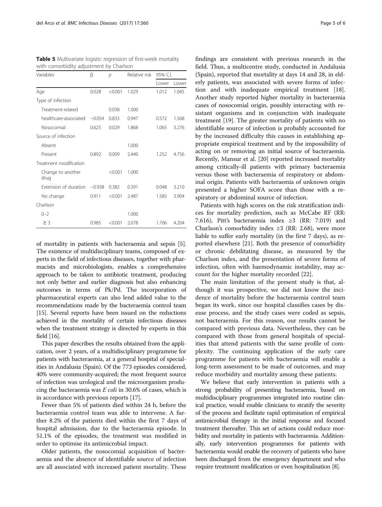| Variables                    | β     | $\mathcal{D}$ | Relative risk | 95% C.I. |       |
|------------------------------|-------|---------------|---------------|----------|-------|
|                              |       |               |               | Lower    | Lower |
| Age                          | 0.028 | < 0.001       | 1.029         | 1.012    | 1.045 |
| Type of infection            |       |               |               |          |       |
| Treatment-related            |       | 0.038         | 1.000         |          |       |
| healthcare-associated -0.054 |       | 0.833         | 0.947         | 0.572    | 1.568 |
| Nosocomial                   | 0.625 | 0.029         | 1.868         | 1.065    | 3.276 |
| Source of infection          |       |               |               |          |       |
| Absent                       |       |               | 1.000         |          |       |
| Present                      | 0.892 | 0.009         | 2.440         | 1.252    | 4.756 |
| Treatment modification       |       |               |               |          |       |
| Change to another<br>drug    |       | < 0.001       | 1.000         |          |       |
| Extension of duration -0.938 |       | 0.382         | 0.391         | 0.048    | 3.210 |
| No change                    | 0.911 | < 0.001       | 2.487         | 1.585    | 3.904 |
| Charlson                     |       |               |               |          |       |
| $0 - 2$                      |       |               | 1.000         |          |       |
| $\geq$ 3                     | 0.985 | < 0.001       | 2.678         | 1.706    | 4.204 |

<span id="page-4-0"></span>Table 5 Multivariate logistic regression of first-week mortality with comorbidity adjustment by Charlson

of mortality in patients with bacteraemia and sepsis [[5](#page-5-0)]. The existence of multidisciplinary teams, composed of experts in the field of infectious diseases, together with pharmacists and microbiologists, enables a comprehensive approach to be taken to antibiotic treatment, producing not only better and earlier diagnosis but also enhancing outcomes in terms of Pk/Pd. The incorporation of pharmaceutical experts can also lend added value to the recommendations made by the bacteraemia control team [[15](#page-5-0)]. Several reports have been issued on the reductions achieved in the mortality of certain infectious diseases when the treatment strategy is directed by experts in this field [\[16](#page-5-0)].

This paper describes the results obtained from the application, over 2 years, of a multidisciplinary programme for patients with bacteraemia, at a general hospital of specialities in Andalusia (Spain). Of the 773 episodes considered, 40% were community-acquired; the most frequent source of infection was urological and the microorganism producing the bacteraemia was  $E$  coli in 30.6% of cases, which is in accordance with previous reports [[17](#page-5-0)].

Fewer than 5% of patients died within 24 h, before the bacteraemia control team was able to intervene. A further 8.2% of the patients died within the first 7 days of hospital admission, due to the bacteraemia episode. In 51.1% of the episodes, the treatment was modified in order to optimise its antimicrobial impact.

Older patients, the nosocomial acquisition of bacteraemia and the absence of identifiable source of infection are all associated with increased patient mortality. These findings are consistent with previous research in the field. Thus, a multicentre study, conducted in Andalusia (Spain), reported that mortality at days 14 and 28, in elderly patients, was associated with severe forms of infection and with inadequate empirical treatment [\[18](#page-5-0)]. Another study reported higher mortality in bacteraemia cases of nosocomial origin, possibly interacting with resistant organisms and in conjunction with inadequate treatment [\[19\]](#page-5-0). The greater mortality of patients with no identifiable source of infection is probably accounted for by the increased difficulty this causes in establishing appropriate empirical treatment and by the impossibility of acting on or removing an initial source of bacteraemia. Recently, Mansur et al. [[20\]](#page-5-0) reported increased mortality among critically-ill patients with primary bacteraemia versus those with bacteraemia of respiratory or abdominal origin. Patients with bacteraemia of unknown origin presented a higher SOFA score than those with a respiratory or abdominal source of infection.

Patients with high scores on the risk stratification indices for mortality prediction, such as McCabe RF (RR: 7.616), Pitt's bacteraemia index ≥3 (RR: 7.019) and Charlson's comorbidity index  $\geq$ 3 (RR: 2.68), were more liable to suffer early mortality (in the first 7 days), as reported elsewhere [\[21\]](#page-5-0). Both the presence of comorbidity or chronic debilitating disease, as measured by the Charlson index, and the presentation of severe forms of infection, often with haemodynamic instability, may account for the higher mortality recorded [[22\]](#page-5-0).

The main limitation of the present study is that, although it was prospective, we did not know the incidence of mortality before the bacteraemia control team began its work, since our hospital classifies cases by disease process, and the study cases were coded as sepsis, not bacteraemia. For this reason, our results cannot be compared with previous data. Nevertheless, they can be compared with those from general hospitals of specialities that attend patients with the same profile of complexity. The continuing application of the early care programme for patients with bacteraemia will enable a long-term assessment to be made of outcomes, and may reduce morbidity and mortality among these patients.

We believe that early intervention in patients with a strong probability of presenting bacteraemia, based on multidisciplinary programmes integrated into routine clinical practice, would enable clinicians to stratify the severity of the process and facilitate rapid optimisation of empirical antimicrobial therapy in the initial response and focused treatment thereafter. This set of actions could reduce morbidity and mortality in patients with bacteraemia. Additionally, early intervention programmes for patients with bacteraemia would enable the recovery of patients who have been discharged from the emergency department and who require treatment modification or even hospitalisation [[8](#page-5-0)].